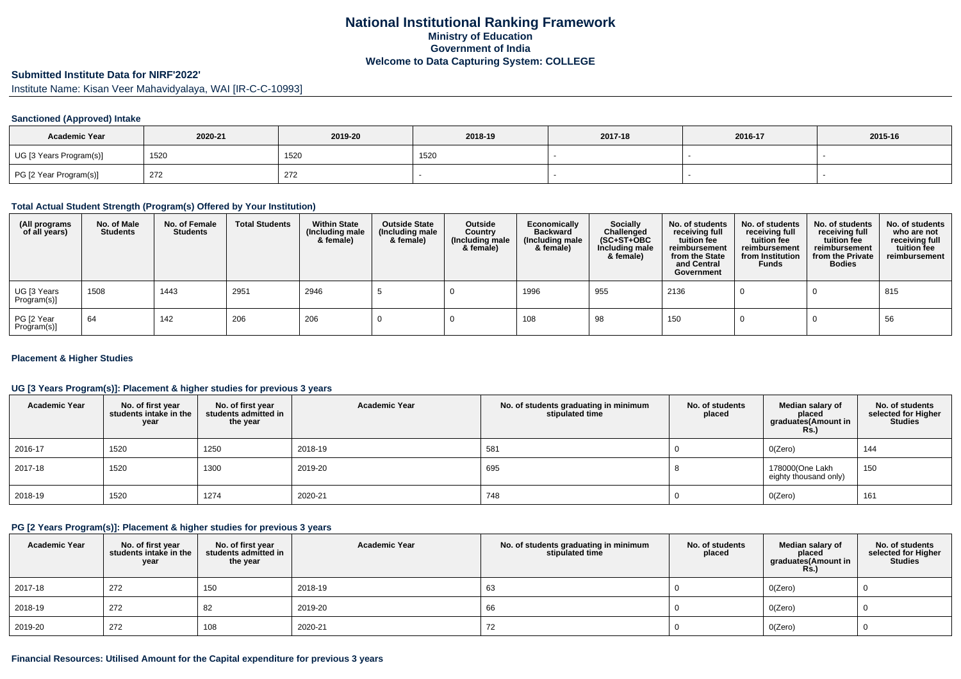## **National Institutional Ranking FrameworkMinistry of Education Government of IndiaWelcome to Data Capturing System: COLLEGE**

### **Submitted Institute Data for NIRF'2022'**

Institute Name: Kisan Veer Mahavidyalaya, WAI [IR-C-C-10993]

#### **Sanctioned (Approved) Intake**

| <b>Academic Year</b>    | 2020-21 | 2019-20 | 2018-19 | 2017-18 | 2016-17 | 2015-16 |
|-------------------------|---------|---------|---------|---------|---------|---------|
| UG [3 Years Program(s)] | 1520    | 1520    | 1520    |         |         |         |
| PG [2 Year Program(s)]  | 272     | 272     |         |         |         |         |

### **Total Actual Student Strength (Program(s) Offered by Your Institution)**

| (All programs<br>of all years) | No. of Male<br><b>Students</b> | No. of Female<br><b>Students</b> | <b>Total Students</b> | <b>Within State</b><br>(Including male<br>& female) | <b>Outside State</b><br>(Including male<br>& female) | Outside<br>Country<br>(Including male<br>& female) | Economically<br><b>Backward</b><br>(Including male<br>& female) | <b>Socially</b><br>Challenged<br>$(SC+ST+OBC)$<br>Including male<br>& female) | No. of students<br>receiving full<br>tuition fee<br>reimbursement<br>from the State<br>and Central<br>Government | No. of students<br>receiving full<br>tuition fee<br>reimbursement<br>from Institution<br><b>Funds</b> | No. of students<br>receiving full<br>tuition fee<br>reimbursement<br>from the Private<br><b>Bodies</b> | No. of students<br>who are not<br>receiving full<br>tuition fee<br>reimbursement |
|--------------------------------|--------------------------------|----------------------------------|-----------------------|-----------------------------------------------------|------------------------------------------------------|----------------------------------------------------|-----------------------------------------------------------------|-------------------------------------------------------------------------------|------------------------------------------------------------------------------------------------------------------|-------------------------------------------------------------------------------------------------------|--------------------------------------------------------------------------------------------------------|----------------------------------------------------------------------------------|
| UG [3 Years<br>Program(s)]     | 1508                           | 1443                             | 2951                  | 2946                                                |                                                      |                                                    | 1996                                                            | 955                                                                           | 2136                                                                                                             |                                                                                                       |                                                                                                        | 815                                                                              |
| PG [2 Year<br>Program(s)]      | 64                             | 142                              | 206                   | 206                                                 |                                                      |                                                    | 108                                                             | 98                                                                            | 150                                                                                                              |                                                                                                       |                                                                                                        | 56                                                                               |

#### **Placement & Higher Studies**

### **UG [3 Years Program(s)]: Placement & higher studies for previous 3 years**

| <b>Academic Year</b> | No. of first year<br>students intake in the<br>year | No. of first year<br>students admitted in<br>the year | <b>Academic Year</b> | No. of students graduating in minimum<br>stipulated time | No. of students<br>placed | Median salary of<br>placed<br>graduates(Amount in<br><b>Rs.)</b> | No. of students<br>selected for Higher<br><b>Studies</b> |
|----------------------|-----------------------------------------------------|-------------------------------------------------------|----------------------|----------------------------------------------------------|---------------------------|------------------------------------------------------------------|----------------------------------------------------------|
| 2016-17              | 1520                                                | 1250                                                  | 2018-19              | 581                                                      |                           | O(Zero)                                                          | 144                                                      |
| 2017-18              | 1520                                                | 1300                                                  | 2019-20              | 695                                                      |                           | 178000(One Lakh<br>eighty thousand only)                         | 150                                                      |
| 2018-19              | 1520                                                | 1274                                                  | 2020-21              | 748                                                      |                           | O(Zero)                                                          | 161                                                      |

#### **PG [2 Years Program(s)]: Placement & higher studies for previous 3 years**

| <b>Academic Year</b> | No. of first year<br>students intake in the<br>year | No. of first year<br>students admitted in<br>the year | <b>Academic Year</b> | No. of students graduating in minimum<br>stipulated time | No. of students<br>placed | Median salary of<br>placed<br>graduates(Amount in<br><b>Rs.)</b> | No. of students<br>selected for Higher<br><b>Studies</b> |
|----------------------|-----------------------------------------------------|-------------------------------------------------------|----------------------|----------------------------------------------------------|---------------------------|------------------------------------------------------------------|----------------------------------------------------------|
| 2017-18              | 272                                                 | 150                                                   | 2018-19              | 63                                                       |                           | O(Zero)                                                          |                                                          |
| 2018-19              | 272                                                 | 82                                                    | 2019-20              | 66                                                       |                           | O(Zero)                                                          |                                                          |
| 2019-20              | 272                                                 | 108                                                   | 2020-21              | 1 Z                                                      |                           | O(Zero)                                                          |                                                          |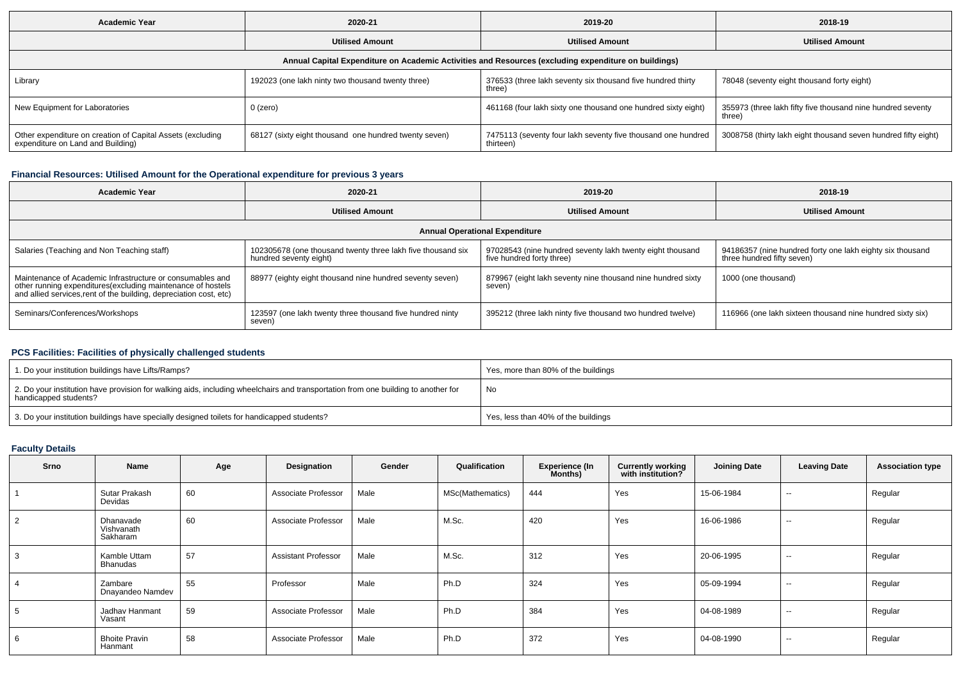| <b>Academic Year</b>                                                                                 | 2020-21                                               | 2019-20                                                                   | 2018-19                                                              |  |  |  |  |  |  |  |  |
|------------------------------------------------------------------------------------------------------|-------------------------------------------------------|---------------------------------------------------------------------------|----------------------------------------------------------------------|--|--|--|--|--|--|--|--|
|                                                                                                      | <b>Utilised Amount</b>                                | <b>Utilised Amount</b>                                                    | <b>Utilised Amount</b>                                               |  |  |  |  |  |  |  |  |
| Annual Capital Expenditure on Academic Activities and Resources (excluding expenditure on buildings) |                                                       |                                                                           |                                                                      |  |  |  |  |  |  |  |  |
| Library                                                                                              | 192023 (one lakh ninty two thousand twenty three)     | 376533 (three lakh seventy six thousand five hundred thirty<br>three)     | 78048 (seventy eight thousand forty eight)                           |  |  |  |  |  |  |  |  |
| New Equipment for Laboratories                                                                       | 0 (zero)                                              | 461168 (four lakh sixty one thousand one hundred sixty eight)             | 355973 (three lakh fifty five thousand nine hundred seventy<br>three |  |  |  |  |  |  |  |  |
| Other expenditure on creation of Capital Assets (excluding<br>expenditure on Land and Building)      | 68127 (sixty eight thousand one hundred twenty seven) | 7475113 (seventy four lakh seventy five thousand one hundred<br>thirteen) | 3008758 (thirty lakh eight thousand seven hundred fifty eight)       |  |  |  |  |  |  |  |  |

## **Financial Resources: Utilised Amount for the Operational expenditure for previous 3 years**

| Academic Year                                                                                                                                                                                  | 2020-21                                                                               | 2019-20                                                                                | 2018-19                                                                                 |  |  |  |  |  |  |  |
|------------------------------------------------------------------------------------------------------------------------------------------------------------------------------------------------|---------------------------------------------------------------------------------------|----------------------------------------------------------------------------------------|-----------------------------------------------------------------------------------------|--|--|--|--|--|--|--|
|                                                                                                                                                                                                | <b>Utilised Amount</b>                                                                | <b>Utilised Amount</b>                                                                 | <b>Utilised Amount</b>                                                                  |  |  |  |  |  |  |  |
| <b>Annual Operational Expenditure</b>                                                                                                                                                          |                                                                                       |                                                                                        |                                                                                         |  |  |  |  |  |  |  |
| Salaries (Teaching and Non Teaching staff)                                                                                                                                                     | 102305678 (one thousand twenty three lakh five thousand six<br>hundred seventy eight) | 97028543 (nine hundred seventy lakh twenty eight thousand<br>five hundred forty three) | 94186357 (nine hundred forty one lakh eighty six thousand<br>three hundred fifty seven) |  |  |  |  |  |  |  |
| Maintenance of Academic Infrastructure or consumables and<br>other running expenditures(excluding maintenance of hostels<br>and allied services, rent of the building, depreciation cost, etc) | 88977 (eighty eight thousand nine hundred seventy seven)                              | 879967 (eight lakh seventy nine thousand nine hundred sixty<br>seven)                  | 1000 (one thousand)                                                                     |  |  |  |  |  |  |  |
| Seminars/Conferences/Workshops                                                                                                                                                                 | 123597 (one lakh twenty three thousand five hundred ninty<br>seven)                   | 395212 (three lakh ninty five thousand two hundred twelve)                             | 116966 (one lakh sixteen thousand nine hundred sixty six)                               |  |  |  |  |  |  |  |

# **PCS Facilities: Facilities of physically challenged students**

| 1. Do your institution buildings have Lifts/Ramps?                                                                                                         | Yes, more than 80% of the buildings |
|------------------------------------------------------------------------------------------------------------------------------------------------------------|-------------------------------------|
| 2. Do your institution have provision for walking aids, including wheelchairs and transportation from one building to another for<br>handicapped students? | No                                  |
| 3. Do your institution buildings have specially designed toilets for handicapped students?                                                                 | Yes, less than 40% of the buildings |

# **Faculty Details**

| Srno           | Name                                | Age | Designation                | Gender | Qualification    | <b>Experience (In</b><br>Months) | <b>Currently working</b><br>with institution? | <b>Joining Date</b> | <b>Leaving Date</b>      | <b>Association type</b> |
|----------------|-------------------------------------|-----|----------------------------|--------|------------------|----------------------------------|-----------------------------------------------|---------------------|--------------------------|-------------------------|
|                | Sutar Prakash<br>Devidas            | 60  | Associate Professor        | Male   | MSc(Mathematics) | 444                              | Yes                                           | 15-06-1984          | $\sim$                   | Regular                 |
| $\overline{2}$ | Dhanavade<br>Vishvanath<br>Sakharam | 60  | Associate Professor        | Male   | M.Sc.            | 420                              | Yes                                           | 16-06-1986          | $- -$                    | Regular                 |
| 3              | Kamble Uttam<br>Bhanudas            | 57  | <b>Assistant Professor</b> | Male   | M.Sc.            | 312                              | Yes                                           | 20-06-1995          | $- -$                    | Regular                 |
| -4             | Zambare<br>Dnayandeo Namdev         | 55  | Professor                  | Male   | Ph.D             | 324                              | Yes                                           | 05-09-1994          | $\overline{\phantom{a}}$ | Regular                 |
| 5              | Jadhav Hanmant<br>Vasant            | 59  | Associate Professor        | Male   | Ph.D             | 384                              | Yes                                           | 04-08-1989          | $\overline{\phantom{a}}$ | Regular                 |
| 6              | <b>Bhoite Pravin</b><br>Hanmant     | 58  | Associate Professor        | Male   | Ph.D             | 372                              | Yes                                           | 04-08-1990          | $\overline{\phantom{a}}$ | Regular                 |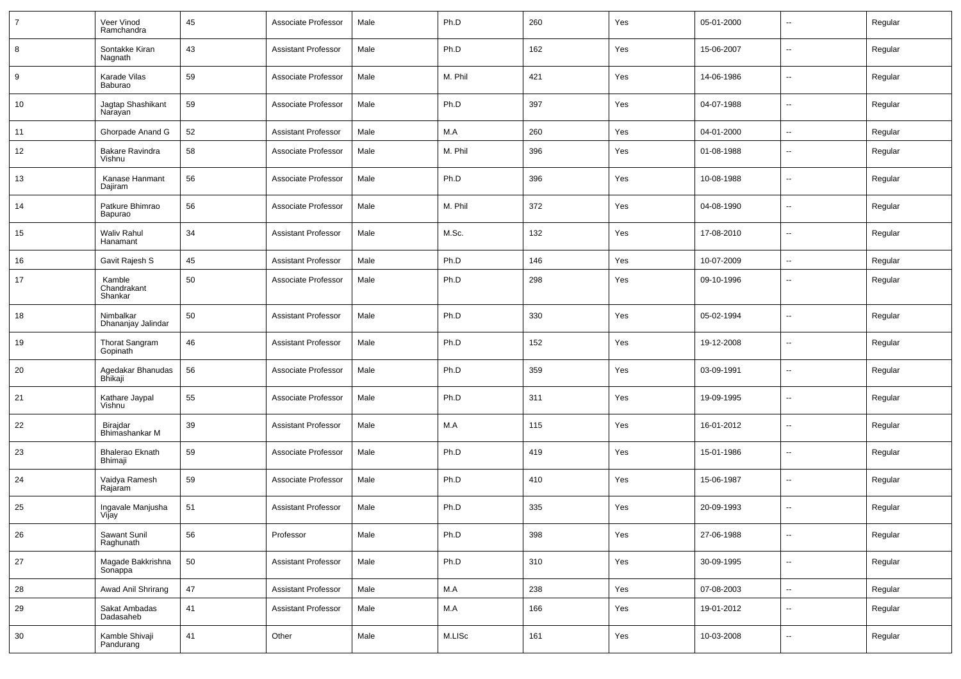|    | Veer Vinod<br>Ramchandra          | 45 | Associate Professor        | Male | Ph.D    | 260 | Yes | 05-01-2000 | $\sim$                   | Regular |
|----|-----------------------------------|----|----------------------------|------|---------|-----|-----|------------|--------------------------|---------|
| 8  | Sontakke Kiran<br>Nagnath         | 43 | <b>Assistant Professor</b> | Male | Ph.D    | 162 | Yes | 15-06-2007 | $\sim$                   | Regular |
| 9  | Karade Vilas<br>Baburao           | 59 | Associate Professor        | Male | M. Phil | 421 | Yes | 14-06-1986 | $\sim$                   | Regular |
| 10 | Jagtap Shashikant<br>Narayan      | 59 | Associate Professor        | Male | Ph.D    | 397 | Yes | 04-07-1988 | $\overline{\phantom{a}}$ | Regular |
| 11 | Ghorpade Anand G                  | 52 | <b>Assistant Professor</b> | Male | M.A     | 260 | Yes | 04-01-2000 | $\sim$                   | Regular |
| 12 | <b>Bakare Ravindra</b><br>Vishnu  | 58 | Associate Professor        | Male | M. Phil | 396 | Yes | 01-08-1988 | Ξ.                       | Regular |
| 13 | Kanase Hanmant<br>Dajiram         | 56 | Associate Professor        | Male | Ph.D    | 396 | Yes | 10-08-1988 | $\sim$                   | Regular |
| 14 | Patkure Bhimrao<br>Bapurao        | 56 | Associate Professor        | Male | M. Phil | 372 | Yes | 04-08-1990 | Ξ.                       | Regular |
| 15 | <b>Waliv Rahul</b><br>Hanamant    | 34 | <b>Assistant Professor</b> | Male | M.Sc.   | 132 | Yes | 17-08-2010 | $\sim$                   | Regular |
| 16 | Gavit Rajesh S                    | 45 | <b>Assistant Professor</b> | Male | Ph.D    | 146 | Yes | 10-07-2009 | Ξ.                       | Regular |
| 17 | Kamble<br>Chandrakant<br>Shankar  | 50 | Associate Professor        | Male | Ph.D    | 298 | Yes | 09-10-1996 | --                       | Regular |
| 18 | Nimbalkar<br>Dhananjay Jalindar   | 50 | <b>Assistant Professor</b> | Male | Ph.D    | 330 | Yes | 05-02-1994 | Щ,                       | Regular |
| 19 | <b>Thorat Sangram</b><br>Gopinath | 46 | <b>Assistant Professor</b> | Male | Ph.D    | 152 | Yes | 19-12-2008 | Ξ.                       | Regular |
| 20 | Agedakar Bhanudas<br>Bhikaji      | 56 | Associate Professor        | Male | Ph.D    | 359 | Yes | 03-09-1991 | $\sim$                   | Regular |
| 21 | Kathare Jaypal<br>Vishnu          | 55 | Associate Professor        | Male | Ph.D    | 311 | Yes | 19-09-1995 | Ξ.                       | Regular |
| 22 | Birajdar<br>Bhimashankar M        | 39 | <b>Assistant Professor</b> | Male | M.A     | 115 | Yes | 16-01-2012 | $\sim$                   | Regular |
| 23 | <b>Bhalerao Eknath</b><br>Bhimaji | 59 | Associate Professor        | Male | Ph.D    | 419 | Yes | 15-01-1986 | $\overline{\phantom{a}}$ | Regular |
| 24 | Vaidya Ramesh<br>Rajaram          | 59 | Associate Professor        | Male | Ph.D    | 410 | Yes | 15-06-1987 | $\sim$                   | Regular |
| 25 | Ingavale Manjusha<br>Vijay        | 51 | <b>Assistant Professor</b> | Male | Ph.D    | 335 | Yes | 20-09-1993 | $\overline{\phantom{a}}$ | Regular |
| 26 | Sawant Sunil<br>Raghunath         | 56 | Professor                  | Male | Ph.D    | 398 | Yes | 27-06-1988 | $\sim$                   | Regular |
| 27 | Magade Bakkrishna<br>Sonappa      | 50 | <b>Assistant Professor</b> | Male | Ph.D    | 310 | Yes | 30-09-1995 | $\sim$                   | Regular |
| 28 | Awad Anil Shrirang                | 47 | <b>Assistant Professor</b> | Male | M.A     | 238 | Yes | 07-08-2003 | $\sim$                   | Regular |
| 29 | Sakat Ambadas<br>Dadasaheb        | 41 | <b>Assistant Professor</b> | Male | M.A     | 166 | Yes | 19-01-2012 | Ξ.                       | Regular |
| 30 | Kamble Shivaji<br>Pandurang       | 41 | Other                      | Male | M.LISc  | 161 | Yes | 10-03-2008 | $\overline{\phantom{a}}$ | Regular |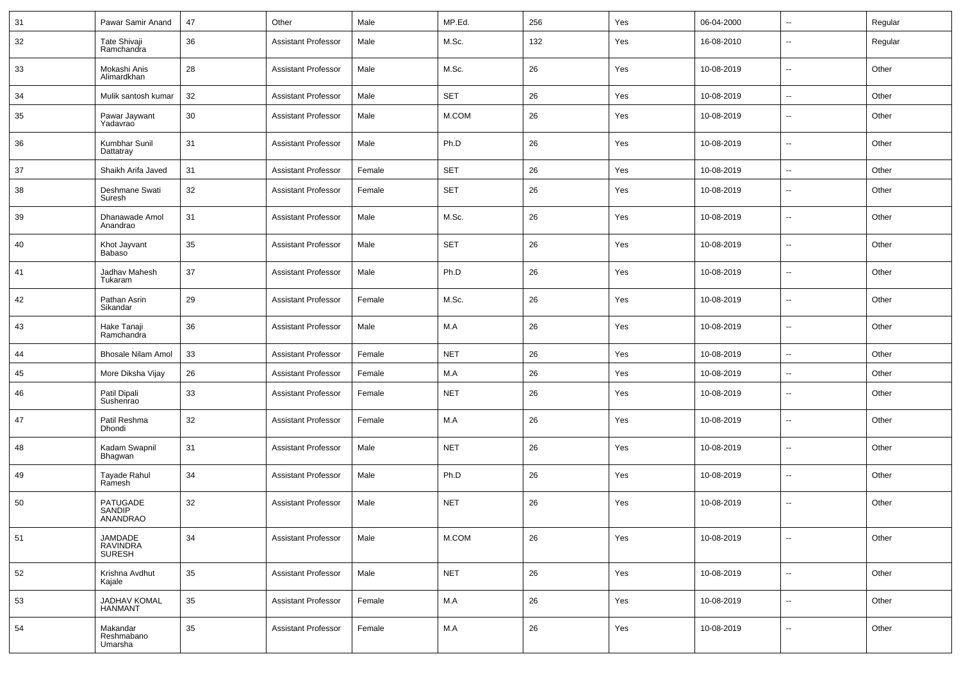| 31 | Pawar Samir Anand                     | 47     | Other                      | Male   | MP.Ed.     | 256 | Yes | 06-04-2000 | $\sim$                   | Regular |
|----|---------------------------------------|--------|----------------------------|--------|------------|-----|-----|------------|--------------------------|---------|
| 32 | Tate Shivaji<br>Ramchandra            | 36     | <b>Assistant Professor</b> | Male   | M.Sc.      | 132 | Yes | 16-08-2010 | $\overline{\phantom{a}}$ | Regular |
| 33 | Mokashi Anis<br>Alimardkhan           | 28     | <b>Assistant Professor</b> | Male   | M.Sc.      | 26  | Yes | 10-08-2019 | $\overline{\phantom{a}}$ | Other   |
| 34 | Mulik santosh kumar                   | 32     | <b>Assistant Professor</b> | Male   | <b>SET</b> | 26  | Yes | 10-08-2019 | $\overline{\phantom{a}}$ | Other   |
| 35 | Pawar Jaywant<br>Yadavrao             | 30     | <b>Assistant Professor</b> | Male   | M.COM      | 26  | Yes | 10-08-2019 | $\overline{\phantom{a}}$ | Other   |
| 36 | Kumbhar Sunil<br>Dattatray            | 31     | <b>Assistant Professor</b> | Male   | Ph.D       | 26  | Yes | 10-08-2019 | $\overline{\phantom{a}}$ | Other   |
| 37 | Shaikh Arifa Javed                    | 31     | <b>Assistant Professor</b> | Female | <b>SET</b> | 26  | Yes | 10-08-2019 | $\overline{\phantom{a}}$ | Other   |
| 38 | Deshmane Swati<br>Suresh              | 32     | <b>Assistant Professor</b> | Female | <b>SET</b> | 26  | Yes | 10-08-2019 | $\sim$                   | Other   |
| 39 | Dhanawade Amol<br>Anandrao            | 31     | <b>Assistant Professor</b> | Male   | M.Sc.      | 26  | Yes | 10-08-2019 | $\overline{\phantom{a}}$ | Other   |
| 40 | Khot Jayvant<br>Babaso                | 35     | <b>Assistant Professor</b> | Male   | <b>SET</b> | 26  | Yes | 10-08-2019 | $\sim$                   | Other   |
| 41 | Jadhav Mahesh<br>Tukaram              | 37     | <b>Assistant Professor</b> | Male   | Ph.D       | 26  | Yes | 10-08-2019 | $\overline{\phantom{a}}$ | Other   |
| 42 | Pathan Asrin<br>Sikandar              | 29     | <b>Assistant Professor</b> | Female | M.Sc.      | 26  | Yes | 10-08-2019 | $\overline{\phantom{a}}$ | Other   |
| 43 | Hake Tanaji<br>Ramchandra             | 36     | <b>Assistant Professor</b> | Male   | M.A        | 26  | Yes | 10-08-2019 | $\sim$                   | Other   |
| 44 | Bhosale Nilam Amol                    | 33     | <b>Assistant Professor</b> | Female | <b>NET</b> | 26  | Yes | 10-08-2019 | $\sim$                   | Other   |
| 45 | More Diksha Vijay                     | 26     | <b>Assistant Professor</b> | Female | M.A        | 26  | Yes | 10-08-2019 | $\overline{\phantom{a}}$ | Other   |
| 46 | Patil Dipali<br>Sushenrao             | 33     | <b>Assistant Professor</b> | Female | <b>NET</b> | 26  | Yes | 10-08-2019 | $\sim$                   | Other   |
| 47 | Patil Reshma<br>Dhondi                | 32     | <b>Assistant Professor</b> | Female | M.A        | 26  | Yes | 10-08-2019 | $\sim$                   | Other   |
| 48 | Kadam Swapnil<br>Bhagwan              | 31     | <b>Assistant Professor</b> | Male   | <b>NET</b> | 26  | Yes | 10-08-2019 | $\sim$                   | Other   |
| 49 | Tayade Rahul<br>Ramesh                | 34     | <b>Assistant Professor</b> | Male   | Ph.D       | 26  | Yes | 10-08-2019 | $\overline{\phantom{a}}$ | Other   |
| 50 | PATUGADE<br>SANDIP<br>ANANDRAO        | 32     | <b>Assistant Professor</b> | Male   | <b>NET</b> | 26  | Yes | 10-08-2019 | $\sim$                   | Other   |
| 51 | JAMDADE<br>RAVINDRA<br><b>SURESH</b>  | 34     | <b>Assistant Professor</b> | Male   | M.COM      | 26  | Yes | 10-08-2019 | $\sim$                   | Other   |
| 52 | Krishna Avdhut<br>Kajale              | 35     | <b>Assistant Professor</b> | Male   | <b>NET</b> | 26  | Yes | 10-08-2019 | $\sim$                   | Other   |
| 53 | <b>JADHAV KOMAL</b><br><b>HANMANT</b> | $35\,$ | <b>Assistant Professor</b> | Female | M.A        | 26  | Yes | 10-08-2019 | $\sim$                   | Other   |
| 54 | Makandar<br>Reshmabano<br>Umarsha     | 35     | <b>Assistant Professor</b> | Female | M.A        | 26  | Yes | 10-08-2019 | $\sim$                   | Other   |